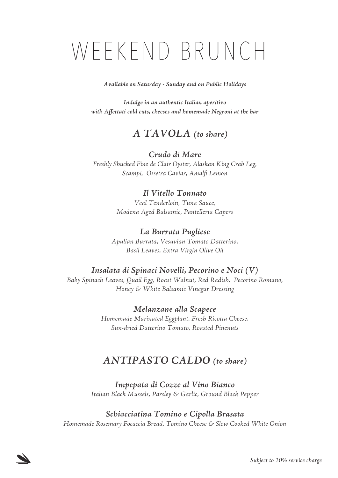# WEEKEND BRUNCH

*Available on Saturday - Sunday and on Public Holidays* 

*Indulge in an authentic Italian aperitivo with Affettati cold cuts, cheeses and homemade Negroni at the bar*

# *A TAVOLA (to share)*

## *Crudo di Mare*

*Freshly Shucked Fine de Clair Oyster, Alaskan King Crab Leg, Scampi, Ossetra Caviar, Amalfi Lemon*

## *Il Vitello Tonnato*

*Veal Tenderloin, Tuna Sauce, Modena Aged Balsamic, Pantelleria Capers*

## *La Burrata Pugliese*

*Apulian Burrata, Vesuvian Tomato Datterino, Basil Leaves, Extra Virgin Olive Oil*

# *Insalata di Spinaci Novelli, Pecorino e Noci (V)*

*Baby Spinach Leaves, Quail Egg, Roast Walnut, Red Radish, Pecorino Romano, Honey & White Balsamic Vinegar Dressing* 

> *Melanzane alla Scapece Homemade Marinated Eggplant, Fresh Ricotta Cheese, Sun-dried Datterino Tomato, Roasted Pinenuts*

# *ANTIPASTO CALDO (to share)*

*Impepata di Cozze al Vino Bianco Italian Black Mussels, Parsley & Garlic, Ground Black Pepper*

### *Schiacciatina Tomino e Cipolla Brasata*

*Homemade Rosemary Focaccia Bread, Tomino Cheese & Slow Cooked White Onion*